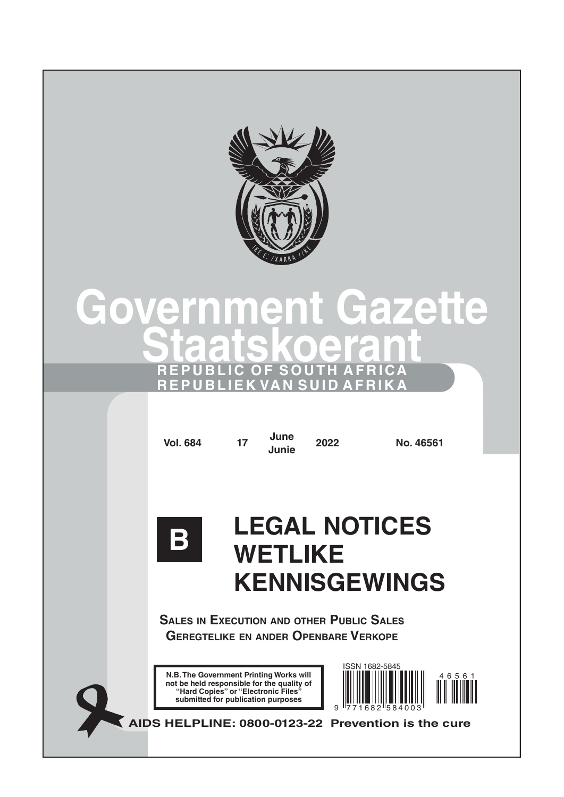

# **Government Gazette Staatskoerant REPUBLIC OF SOUTH AFRICA REPUBLIEK VAN SUID AFRIKA**

**Vol. 684 <sup>17</sup> June**

**Junie <sup>2022</sup> No. 46561**



# **LEGAL NOTICES WETLIKE KENNISGEWINGS**

**Sales in Execution and other Public Sales Geregtelike en ander Openbare Verkope**

**AIDS HELPLINE: 0800-0123-22 Prevention is the cure**

**N.B. The Government Printing Works will not be held responsible for the quality of "Hard Copies" or "Electronic Files" submitted for publication purposes**

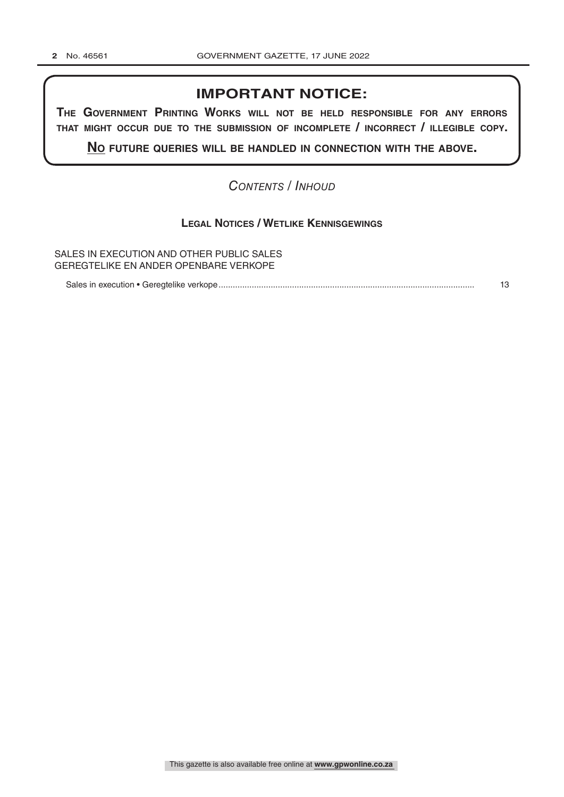### **IMPORTANT NOTICE:**

**The GovernmenT PrinTinG Works Will noT be held resPonsible for any errors ThaT miGhT occur due To The submission of incomPleTe / incorrecT / illeGible coPy.**

**no fuTure queries Will be handled in connecTion WiTh The above.**

### *Contents / Inhoud*

### **Legal Notices / Wetlike Kennisgewings**

SALES IN EXECUTION AND OTHER PUBLIC SALES GEREGTELIKE EN ANDER OPENBARE VERKOPE

Sales in execution • Geregtelike verkope............................................................................................................ 13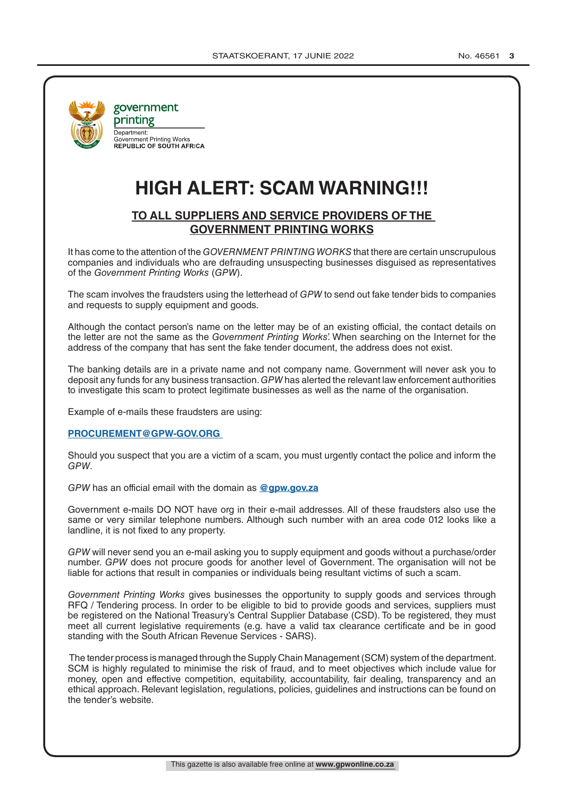

government printing Department:<br>Government Printing Works **REPUBLIC OF SOUTH AFRICA** 

# **HIGH ALERT: SCAM WARNING!!!**

### **TO ALL SUPPLIERS AND SERVICE PROVIDERS OF THE GOVERNMENT PRINTING WORKS**

It has come to the attention of the *GOVERNMENT PRINTING WORKS* that there are certain unscrupulous companies and individuals who are defrauding unsuspecting businesses disguised as representatives of the *Government Printing Works* (*GPW*).

The scam involves the fraudsters using the letterhead of *GPW* to send out fake tender bids to companies and requests to supply equipment and goods.

Although the contact person's name on the letter may be of an existing official, the contact details on the letter are not the same as the *Government Printing Works*'. When searching on the Internet for the address of the company that has sent the fake tender document, the address does not exist.

The banking details are in a private name and not company name. Government will never ask you to deposit any funds for any business transaction. *GPW* has alerted the relevant law enforcement authorities to investigate this scam to protect legitimate businesses as well as the name of the organisation.

Example of e-mails these fraudsters are using:

### **PROCUREMENT@GPW-GOV.ORG**

Should you suspect that you are a victim of a scam, you must urgently contact the police and inform the *GPW*.

*GPW* has an official email with the domain as **@gpw.gov.za**

Government e-mails DO NOT have org in their e-mail addresses. All of these fraudsters also use the same or very similar telephone numbers. Although such number with an area code 012 looks like a landline, it is not fixed to any property.

*GPW* will never send you an e-mail asking you to supply equipment and goods without a purchase/order number. *GPW* does not procure goods for another level of Government. The organisation will not be liable for actions that result in companies or individuals being resultant victims of such a scam.

*Government Printing Works* gives businesses the opportunity to supply goods and services through RFQ / Tendering process. In order to be eligible to bid to provide goods and services, suppliers must be registered on the National Treasury's Central Supplier Database (CSD). To be registered, they must meet all current legislative requirements (e.g. have a valid tax clearance certificate and be in good standing with the South African Revenue Services - SARS).

 The tender process is managed through the Supply Chain Management (SCM) system of the department. SCM is highly regulated to minimise the risk of fraud, and to meet objectives which include value for money, open and effective competition, equitability, accountability, fair dealing, transparency and an ethical approach. Relevant legislation, regulations, policies, guidelines and instructions can be found on the tender's website.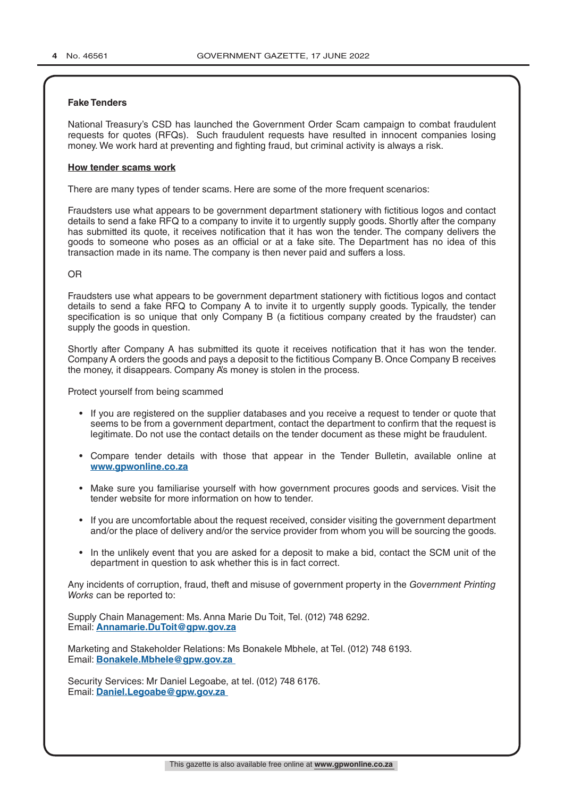### **Fake Tenders**

National Treasury's CSD has launched the Government Order Scam campaign to combat fraudulent requests for quotes (RFQs). Such fraudulent requests have resulted in innocent companies losing money. We work hard at preventing and fighting fraud, but criminal activity is always a risk.

### **How tender scams work**

There are many types of tender scams. Here are some of the more frequent scenarios:

Fraudsters use what appears to be government department stationery with fictitious logos and contact details to send a fake RFQ to a company to invite it to urgently supply goods. Shortly after the company has submitted its quote, it receives notification that it has won the tender. The company delivers the goods to someone who poses as an official or at a fake site. The Department has no idea of this transaction made in its name. The company is then never paid and suffers a loss.

### OR

Fraudsters use what appears to be government department stationery with fictitious logos and contact details to send a fake RFQ to Company A to invite it to urgently supply goods. Typically, the tender specification is so unique that only Company B (a fictitious company created by the fraudster) can supply the goods in question.

Shortly after Company A has submitted its quote it receives notification that it has won the tender. Company A orders the goods and pays a deposit to the fictitious Company B. Once Company B receives the money, it disappears. Company A's money is stolen in the process.

Protect yourself from being scammed

- If you are registered on the supplier databases and you receive a request to tender or quote that seems to be from a government department, contact the department to confirm that the request is legitimate. Do not use the contact details on the tender document as these might be fraudulent.
- Compare tender details with those that appear in the Tender Bulletin, available online at **www.gpwonline.co.za**
- Make sure you familiarise yourself with how government procures goods and services. Visit the tender website for more information on how to tender.
- If you are uncomfortable about the request received, consider visiting the government department and/or the place of delivery and/or the service provider from whom you will be sourcing the goods.
- In the unlikely event that you are asked for a deposit to make a bid, contact the SCM unit of the department in question to ask whether this is in fact correct.

Any incidents of corruption, fraud, theft and misuse of government property in the *Government Printing Works* can be reported to:

Supply Chain Management: Ms. Anna Marie Du Toit, Tel. (012) 748 6292. Email: **Annamarie.DuToit@gpw.gov.za**

Marketing and Stakeholder Relations: Ms Bonakele Mbhele, at Tel. (012) 748 6193. Email: **Bonakele.Mbhele@gpw.gov.za** 

Security Services: Mr Daniel Legoabe, at tel. (012) 748 6176. Email: **Daniel.Legoabe@gpw.gov.za**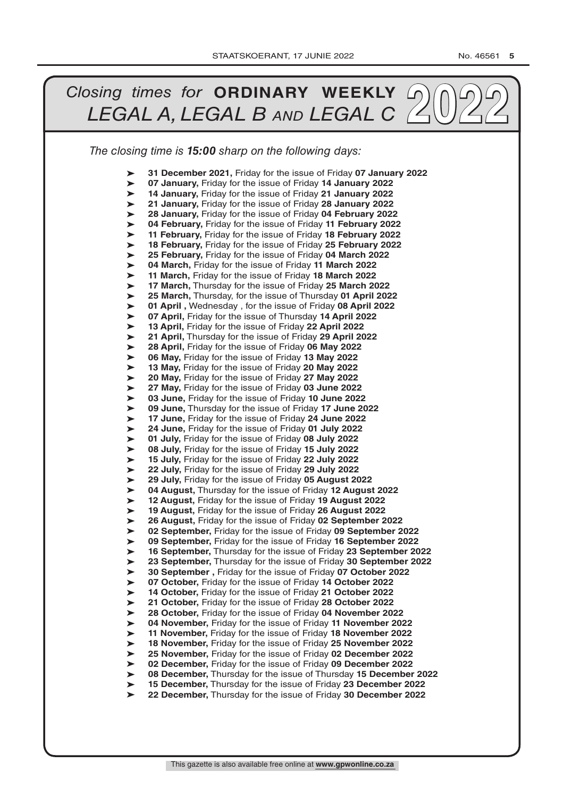#### *The closing time is 15:00 sharp on the following days: Closing times for* **<b>ORDINARY WEEKLY** 20022 ➤ ➤ ➤ ➤ ➤ ➤ ➤ ➤ ➤ ➤ ➤ ➤ ➤ ➤ ➤ ➤ ➤ ➤ ➤ ➤ ➤ ➤ ➤ ➤ ➤ ➤ ➤ ➤ ➤ ➤ ➤ ➤ ➤ ➤ ➤ ➤ ➤ ➤ ➤ ➤ ➤ ➤ ➤ ➤ ➤ ➤ ➤ ➤ ➤ ➤ ➤ ➤ **31 December 2021,** Friday for the issue of Friday **07 January 2022 07 January,** Friday for the issue of Friday **14 January 2022 14 January,** Friday for the issue of Friday **21 January 2022 21 January,** Friday for the issue of Friday **28 January 2022 28 January,** Friday for the issue of Friday **04 February 2022 04 February,** Friday for the issue of Friday **11 February 2022 11 February,** Friday for the issue of Friday **18 February 2022 18 February,** Friday for the issue of Friday **25 February 2022 25 February,** Friday for the issue of Friday **04 March 2022 04 March,** Friday for the issue of Friday **11 March 2022 11 March,** Friday for the issue of Friday **18 March 2022 17 March,** Thursday for the issue of Friday **25 March 2022 25 March,** Thursday, for the issue of Thursday **01 April 2022 01 April ,** Wednesday , for the issue of Friday **08 April 2022 07 April,** Friday for the issue of Thursday **14 April 2022 13 April,** Friday for the issue of Friday **22 April 2022 21 April,** Thursday for the issue of Friday **29 April 2022 28 April,** Friday for the issue of Friday **06 May 2022 06 May,** Friday for the issue of Friday **13 May 2022 13 May,** Friday for the issue of Friday **20 May 2022 20 May,** Friday for the issue of Friday **27 May 2022 27 May,** Friday for the issue of Friday **03 June 2022 03 June,** Friday for the issue of Friday **10 June 2022 09 June,** Thursday for the issue of Friday **17 June 2022 17 June,** Friday for the issue of Friday **24 June 2022 24 June,** Friday for the issue of Friday **01 July 2022 01 July,** Friday for the issue of Friday **08 July 2022 08 July,** Friday for the issue of Friday **15 July 2022 15 July,** Friday for the issue of Friday **22 July 2022 22 July,** Friday for the issue of Friday **29 July 2022 29 July,** Friday for the issue of Friday **05 August 2022 04 August,** Thursday for the issue of Friday **12 August 2022 12 August,** Friday for the issue of Friday **19 August 2022 19 August,** Friday for the issue of Friday **26 August 2022 26 August,** Friday for the issue of Friday **02 September 2022 02 September,** Friday for the issue of Friday **09 September 2022 09 September,** Friday for the issue of Friday **16 September 2022 16 September,** Thursday for the issue of Friday **23 September 2022 23 September,** Thursday for the issue of Friday **30 September 2022 30 September ,** Friday for the issue of Friday **07 October 2022 07 October,** Friday for the issue of Friday **14 October 2022 14 October,** Friday for the issue of Friday **21 October 2022 21 October,** Friday for the issue of Friday **28 October 2022 28 October,** Friday for the issue of Friday **04 November 2022 04 November,** Friday for the issue of Friday **11 November 2022 11 November,** Friday for the issue of Friday **18 November 2022 18 November,** Friday for the issue of Friday **25 November 2022 25 November,** Friday for the issue of Friday **02 December 2022 02 December,** Friday for the issue of Friday **09 December 2022 08 December,** Thursday for the issue of Thursday **15 December 2022 15 December,** Thursday for the issue of Friday **23 December 2022 22 December,** Thursday for the issue of Friday **30 December 2022**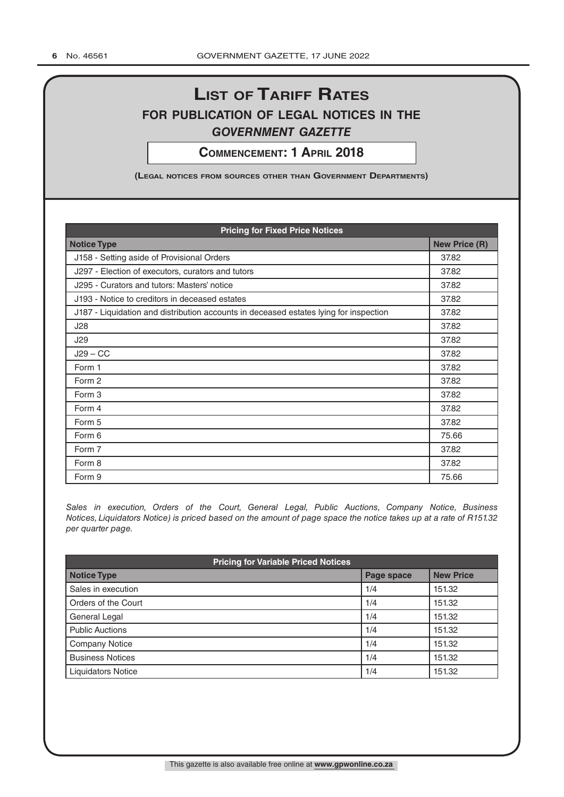# **List of tariff rates for pubLication of LegaL notices in the** *government gazette*

**commencement: 1 apriL 2018**

**(LegaL notices from sources other than government Departments)**

| <b>Pricing for Fixed Price Notices</b>                                                |                      |  |
|---------------------------------------------------------------------------------------|----------------------|--|
| <b>Notice Type</b>                                                                    | <b>New Price (R)</b> |  |
| J158 - Setting aside of Provisional Orders                                            | 37.82                |  |
| J297 - Election of executors, curators and tutors                                     | 37.82                |  |
| J295 - Curators and tutors: Masters' notice                                           | 37.82                |  |
| J193 - Notice to creditors in deceased estates                                        | 37.82                |  |
| J187 - Liquidation and distribution accounts in deceased estates lying for inspection | 37.82                |  |
| J28                                                                                   | 37.82                |  |
| J29                                                                                   | 37.82                |  |
| $J29 - CC$                                                                            | 37.82                |  |
| Form 1                                                                                | 37.82                |  |
| Form 2                                                                                | 37.82                |  |
| Form 3                                                                                | 37.82                |  |
| Form 4                                                                                | 37.82                |  |
| Form 5                                                                                | 37.82                |  |
| Form 6                                                                                | 75.66                |  |
| Form 7                                                                                | 37.82                |  |
| Form 8                                                                                | 37.82                |  |
| Form 9                                                                                | 75.66                |  |

*Sales in execution, Orders of the Court, General Legal, Public Auctions, Company Notice, Business Notices, Liquidators Notice) is priced based on the amount of page space the notice takes up at a rate of R151.32 per quarter page.*

| <b>Pricing for Variable Priced Notices</b> |            |                  |  |
|--------------------------------------------|------------|------------------|--|
| <b>Notice Type</b>                         | Page space | <b>New Price</b> |  |
| Sales in execution                         | 1/4        | 151.32           |  |
| Orders of the Court                        | 1/4        | 151.32           |  |
| General Legal                              | 1/4        | 151.32           |  |
| <b>Public Auctions</b>                     | 1/4        | 151.32           |  |
| <b>Company Notice</b>                      | 1/4        | 151.32           |  |
| <b>Business Notices</b>                    | 1/4        | 151.32           |  |
| <b>Liquidators Notice</b>                  | 1/4        | 151.32           |  |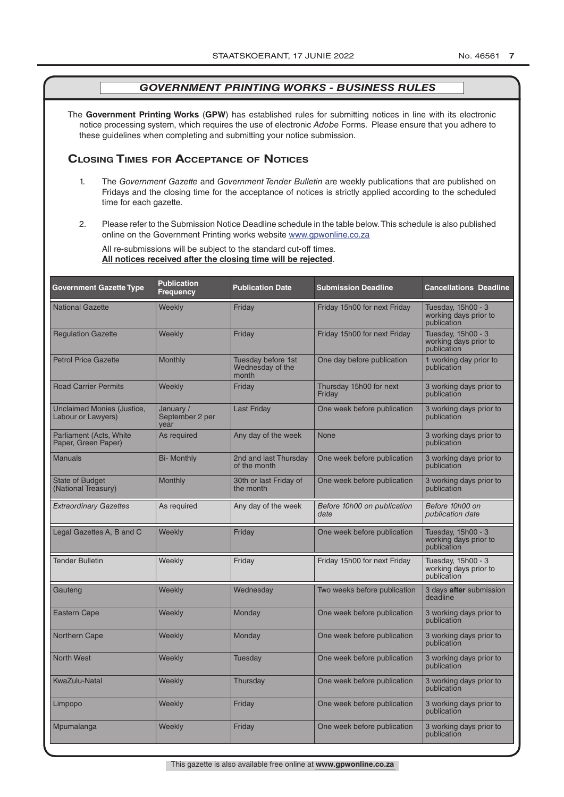The **Government Printing Works** (**GPW**) has established rules for submitting notices in line with its electronic notice processing system, which requires the use of electronic *Adobe* Forms. Please ensure that you adhere to these guidelines when completing and submitting your notice submission.

### **Closing Times for ACCepTAnCe of noTiCes**

- 1. The *Government Gazette* and *Government Tender Bulletin* are weekly publications that are published on Fridays and the closing time for the acceptance of notices is strictly applied according to the scheduled time for each gazette.
- 2. Please refer to the Submission Notice Deadline schedule in the table below. This schedule is also published online on the Government Printing works website www.gpwonline.co.za

All re-submissions will be subject to the standard cut-off times. **All notices received after the closing time will be rejected**.

| <b>Government Gazette Type</b>                   | <b>Publication</b><br><b>Frequency</b> | <b>Publication Date</b>                         | <b>Submission Deadline</b>          | <b>Cancellations Deadline</b>                              |
|--------------------------------------------------|----------------------------------------|-------------------------------------------------|-------------------------------------|------------------------------------------------------------|
| <b>National Gazette</b>                          | Weekly                                 | Friday                                          | Friday 15h00 for next Friday        | Tuesday, 15h00 - 3<br>working days prior to<br>publication |
| <b>Regulation Gazette</b>                        | Weekly                                 | Friday                                          | Friday 15h00 for next Friday        | Tuesday, 15h00 - 3<br>working days prior to<br>publication |
| <b>Petrol Price Gazette</b>                      | Monthly                                | Tuesday before 1st<br>Wednesday of the<br>month | One day before publication          | 1 working day prior to<br>publication                      |
| <b>Road Carrier Permits</b>                      | Weekly                                 | Friday                                          | Thursday 15h00 for next<br>Friday   | 3 working days prior to<br>publication                     |
| Unclaimed Monies (Justice,<br>Labour or Lawyers) | January /<br>September 2 per<br>year   | <b>Last Friday</b>                              | One week before publication         | 3 working days prior to<br>publication                     |
| Parliament (Acts, White<br>Paper, Green Paper)   | As required                            | Any day of the week                             | None                                | 3 working days prior to<br>publication                     |
| <b>Manuals</b>                                   | <b>Bi- Monthly</b>                     | 2nd and last Thursday<br>of the month           | One week before publication         | 3 working days prior to<br>publication                     |
| <b>State of Budget</b><br>(National Treasury)    | <b>Monthly</b>                         | 30th or last Friday of<br>the month             | One week before publication         | 3 working days prior to<br>publication                     |
| <b>Extraordinary Gazettes</b>                    | As required                            | Any day of the week                             | Before 10h00 on publication<br>date | Before 10h00 on<br>publication date                        |
| Legal Gazettes A, B and C                        | Weekly                                 | Friday                                          | One week before publication         | Tuesday, 15h00 - 3<br>working days prior to<br>publication |
| <b>Tender Bulletin</b>                           | Weekly                                 | Friday                                          | Friday 15h00 for next Friday        | Tuesday, 15h00 - 3<br>working days prior to<br>publication |
| Gauteng                                          | Weekly                                 | Wednesday                                       | Two weeks before publication        | 3 days after submission<br>deadline                        |
| Eastern Cape                                     | Weekly                                 | Monday                                          | One week before publication         | 3 working days prior to<br>publication                     |
| <b>Northern Cape</b>                             | Weekly                                 | Monday                                          | One week before publication         | 3 working days prior to<br>publication                     |
| <b>North West</b>                                | Weekly                                 | Tuesday                                         | One week before publication         | 3 working days prior to<br>publication                     |
| <b>KwaZulu-Natal</b>                             | Weekly                                 | Thursday                                        | One week before publication         | 3 working days prior to<br>publication                     |
| Limpopo                                          | Weekly                                 | Friday                                          | One week before publication         | 3 working days prior to<br>publication                     |
| Mpumalanga                                       | Weekly                                 | Friday                                          | One week before publication         | 3 working days prior to<br>publication                     |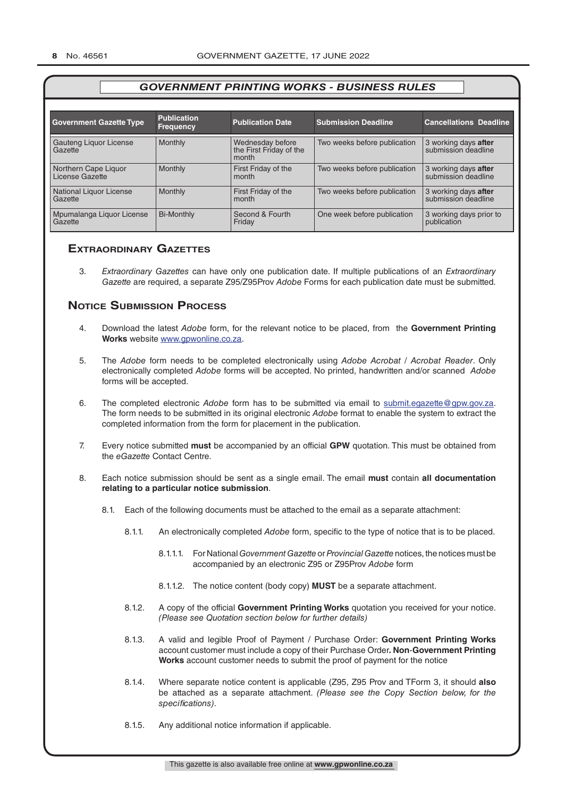| <b>Government Gazette Type</b>          | <b>Publication</b><br><b>Frequency</b> | <b>Publication Date</b>                              | <b>Submission Deadline</b>   | <b>Cancellations Deadline</b>               |
|-----------------------------------------|----------------------------------------|------------------------------------------------------|------------------------------|---------------------------------------------|
| Gauteng Liquor License<br>Gazette       | Monthly                                | Wednesday before<br>the First Friday of the<br>month | Two weeks before publication | 3 working days after<br>submission deadline |
| Northern Cape Liquor<br>License Gazette | Monthly                                | First Friday of the<br>month                         | Two weeks before publication | 3 working days after<br>submission deadline |
| National Liquor License<br>Gazette      | Monthly                                | First Friday of the<br>month                         | Two weeks before publication | 3 working days after<br>submission deadline |
| Mpumalanga Liquor License<br>Gazette    | <b>Bi-Monthly</b>                      | Second & Fourth<br>Friday                            | One week before publication  | 3 working days prior to<br>publication      |

### **exTrAordinAry gAzeTTes**

3. *Extraordinary Gazettes* can have only one publication date. If multiple publications of an *Extraordinary Gazette* are required, a separate Z95/Z95Prov *Adobe* Forms for each publication date must be submitted.

### **NOTICE SUBMISSION PROCESS**

- 4. Download the latest *Adobe* form, for the relevant notice to be placed, from the **Government Printing Works** website www.gpwonline.co.za.
- 5. The *Adobe* form needs to be completed electronically using *Adobe Acrobat* / *Acrobat Reader*. Only electronically completed *Adobe* forms will be accepted. No printed, handwritten and/or scanned *Adobe* forms will be accepted.
- 6. The completed electronic *Adobe* form has to be submitted via email to submit.egazette@gpw.gov.za. The form needs to be submitted in its original electronic *Adobe* format to enable the system to extract the completed information from the form for placement in the publication.
- 7. Every notice submitted **must** be accompanied by an official **GPW** quotation. This must be obtained from the *eGazette* Contact Centre.
- 8. Each notice submission should be sent as a single email. The email **must** contain **all documentation relating to a particular notice submission**.
	- 8.1. Each of the following documents must be attached to the email as a separate attachment:
		- 8.1.1. An electronically completed *Adobe* form, specific to the type of notice that is to be placed.
			- 8.1.1.1. For National *Government Gazette* or *Provincial Gazette* notices, the notices must be accompanied by an electronic Z95 or Z95Prov *Adobe* form
			- 8.1.1.2. The notice content (body copy) **MUST** be a separate attachment.
		- 8.1.2. A copy of the official **Government Printing Works** quotation you received for your notice. *(Please see Quotation section below for further details)*
		- 8.1.3. A valid and legible Proof of Payment / Purchase Order: **Government Printing Works** account customer must include a copy of their Purchase Order*.* **Non**-**Government Printing Works** account customer needs to submit the proof of payment for the notice
		- 8.1.4. Where separate notice content is applicable (Z95, Z95 Prov and TForm 3, it should **also** be attached as a separate attachment. *(Please see the Copy Section below, for the specifications)*.
		- 8.1.5. Any additional notice information if applicable.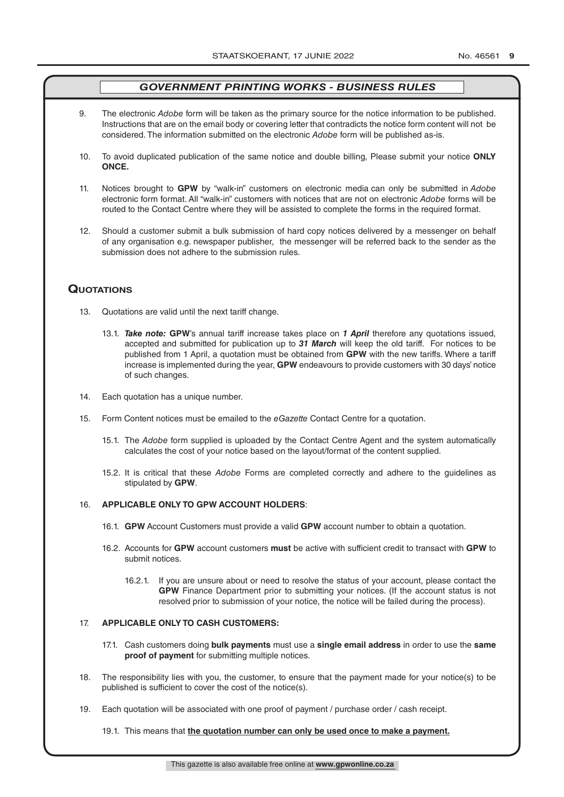- 9. The electronic *Adobe* form will be taken as the primary source for the notice information to be published. Instructions that are on the email body or covering letter that contradicts the notice form content will not be considered. The information submitted on the electronic *Adobe* form will be published as-is.
- 10. To avoid duplicated publication of the same notice and double billing, Please submit your notice **ONLY ONCE.**
- 11. Notices brought to **GPW** by "walk-in" customers on electronic media can only be submitted in *Adobe* electronic form format. All "walk-in" customers with notices that are not on electronic *Adobe* forms will be routed to the Contact Centre where they will be assisted to complete the forms in the required format.
- 12. Should a customer submit a bulk submission of hard copy notices delivered by a messenger on behalf of any organisation e.g. newspaper publisher, the messenger will be referred back to the sender as the submission does not adhere to the submission rules.

### **QuoTATions**

- 13. Quotations are valid until the next tariff change.
	- 13.1. *Take note:* **GPW**'s annual tariff increase takes place on *1 April* therefore any quotations issued, accepted and submitted for publication up to *31 March* will keep the old tariff. For notices to be published from 1 April, a quotation must be obtained from **GPW** with the new tariffs. Where a tariff increase is implemented during the year, **GPW** endeavours to provide customers with 30 days' notice of such changes.
- 14. Each quotation has a unique number.
- 15. Form Content notices must be emailed to the *eGazette* Contact Centre for a quotation.
	- 15.1. The *Adobe* form supplied is uploaded by the Contact Centre Agent and the system automatically calculates the cost of your notice based on the layout/format of the content supplied.
	- 15.2. It is critical that these *Adobe* Forms are completed correctly and adhere to the guidelines as stipulated by **GPW**.

### 16. **APPLICABLE ONLY TO GPW ACCOUNT HOLDERS**:

- 16.1. **GPW** Account Customers must provide a valid **GPW** account number to obtain a quotation.
- 16.2. Accounts for **GPW** account customers **must** be active with sufficient credit to transact with **GPW** to submit notices.
	- 16.2.1. If you are unsure about or need to resolve the status of your account, please contact the **GPW** Finance Department prior to submitting your notices. (If the account status is not resolved prior to submission of your notice, the notice will be failed during the process).

### 17. **APPLICABLE ONLY TO CASH CUSTOMERS:**

- 17.1. Cash customers doing **bulk payments** must use a **single email address** in order to use the **same proof of payment** for submitting multiple notices.
- 18. The responsibility lies with you, the customer, to ensure that the payment made for your notice(s) to be published is sufficient to cover the cost of the notice(s).
- 19. Each quotation will be associated with one proof of payment / purchase order / cash receipt.
	- 19.1. This means that **the quotation number can only be used once to make a payment.**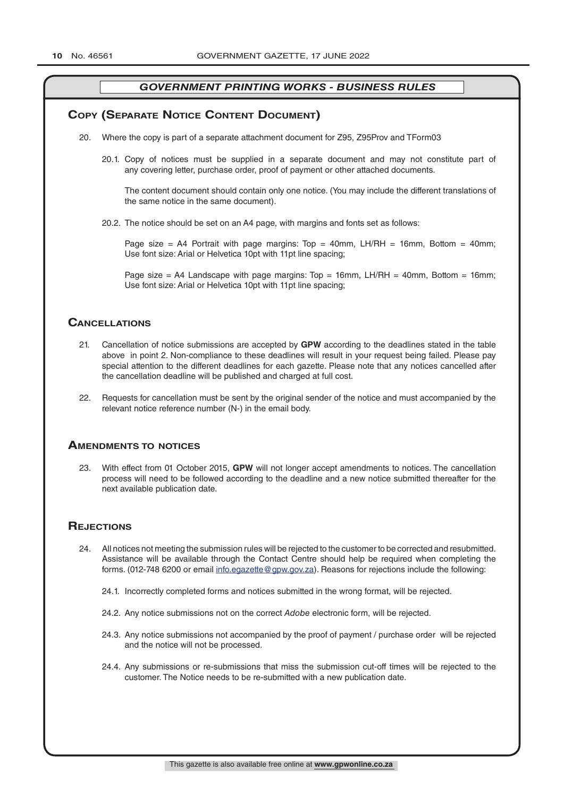### **COPY (SEPARATE NOTICE CONTENT DOCUMENT)**

- 20. Where the copy is part of a separate attachment document for Z95, Z95Prov and TForm03
	- 20.1. Copy of notices must be supplied in a separate document and may not constitute part of any covering letter, purchase order, proof of payment or other attached documents.

The content document should contain only one notice. (You may include the different translations of the same notice in the same document).

20.2. The notice should be set on an A4 page, with margins and fonts set as follows:

Page size = A4 Portrait with page margins: Top = 40mm, LH/RH = 16mm, Bottom = 40mm; Use font size: Arial or Helvetica 10pt with 11pt line spacing;

Page size = A4 Landscape with page margins:  $Top = 16mm$ , LH/RH = 40mm, Bottom = 16mm; Use font size: Arial or Helvetica 10pt with 11pt line spacing;

### **CAnCellATions**

- 21. Cancellation of notice submissions are accepted by **GPW** according to the deadlines stated in the table above in point 2. Non-compliance to these deadlines will result in your request being failed. Please pay special attention to the different deadlines for each gazette. Please note that any notices cancelled after the cancellation deadline will be published and charged at full cost.
- 22. Requests for cancellation must be sent by the original sender of the notice and must accompanied by the relevant notice reference number (N-) in the email body.

### **AmendmenTs To noTiCes**

23. With effect from 01 October 2015, **GPW** will not longer accept amendments to notices. The cancellation process will need to be followed according to the deadline and a new notice submitted thereafter for the next available publication date.

### **REJECTIONS**

- 24. All notices not meeting the submission rules will be rejected to the customer to be corrected and resubmitted. Assistance will be available through the Contact Centre should help be required when completing the forms. (012-748 6200 or email info.egazette@gpw.gov.za). Reasons for rejections include the following:
	- 24.1. Incorrectly completed forms and notices submitted in the wrong format, will be rejected.
	- 24.2. Any notice submissions not on the correct *Adobe* electronic form, will be rejected.
	- 24.3. Any notice submissions not accompanied by the proof of payment / purchase order will be rejected and the notice will not be processed.
	- 24.4. Any submissions or re-submissions that miss the submission cut-off times will be rejected to the customer. The Notice needs to be re-submitted with a new publication date.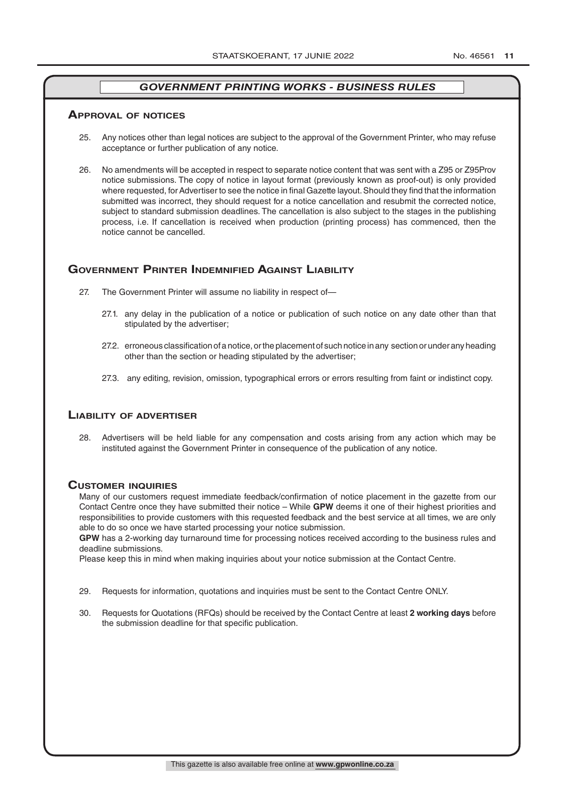### **ApprovAl of noTiCes**

- 25. Any notices other than legal notices are subject to the approval of the Government Printer, who may refuse acceptance or further publication of any notice.
- 26. No amendments will be accepted in respect to separate notice content that was sent with a Z95 or Z95Prov notice submissions. The copy of notice in layout format (previously known as proof-out) is only provided where requested, for Advertiser to see the notice in final Gazette layout. Should they find that the information submitted was incorrect, they should request for a notice cancellation and resubmit the corrected notice, subject to standard submission deadlines. The cancellation is also subject to the stages in the publishing process, i.e. If cancellation is received when production (printing process) has commenced, then the notice cannot be cancelled.

### **governmenT prinTer indemnified AgAinsT liAbiliTy**

- 27. The Government Printer will assume no liability in respect of—
	- 27.1. any delay in the publication of a notice or publication of such notice on any date other than that stipulated by the advertiser;
	- 27.2. erroneous classification of a notice, or the placement of such notice in any section or under any heading other than the section or heading stipulated by the advertiser;
	- 27.3. any editing, revision, omission, typographical errors or errors resulting from faint or indistinct copy.

### **liAbiliTy of AdverTiser**

28. Advertisers will be held liable for any compensation and costs arising from any action which may be instituted against the Government Printer in consequence of the publication of any notice.

#### **CusTomer inQuiries**

Many of our customers request immediate feedback/confirmation of notice placement in the gazette from our Contact Centre once they have submitted their notice – While **GPW** deems it one of their highest priorities and responsibilities to provide customers with this requested feedback and the best service at all times, we are only able to do so once we have started processing your notice submission.

**GPW** has a 2-working day turnaround time for processing notices received according to the business rules and deadline submissions.

Please keep this in mind when making inquiries about your notice submission at the Contact Centre.

- 29. Requests for information, quotations and inquiries must be sent to the Contact Centre ONLY.
- 30. Requests for Quotations (RFQs) should be received by the Contact Centre at least **2 working days** before the submission deadline for that specific publication.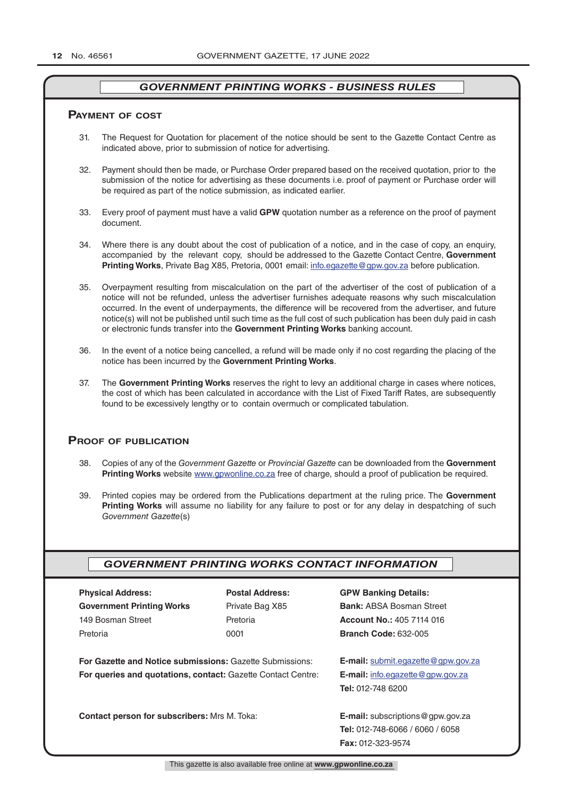### **pAymenT of CosT**

- 31. The Request for Quotation for placement of the notice should be sent to the Gazette Contact Centre as indicated above, prior to submission of notice for advertising.
- 32. Payment should then be made, or Purchase Order prepared based on the received quotation, prior to the submission of the notice for advertising as these documents i.e. proof of payment or Purchase order will be required as part of the notice submission, as indicated earlier.
- 33. Every proof of payment must have a valid **GPW** quotation number as a reference on the proof of payment document.
- 34. Where there is any doubt about the cost of publication of a notice, and in the case of copy, an enquiry, accompanied by the relevant copy, should be addressed to the Gazette Contact Centre, **Government Printing Works**, Private Bag X85, Pretoria, 0001 email: info.egazette@gpw.gov.za before publication.
- 35. Overpayment resulting from miscalculation on the part of the advertiser of the cost of publication of a notice will not be refunded, unless the advertiser furnishes adequate reasons why such miscalculation occurred. In the event of underpayments, the difference will be recovered from the advertiser, and future notice(s) will not be published until such time as the full cost of such publication has been duly paid in cash or electronic funds transfer into the **Government Printing Works** banking account.
- 36. In the event of a notice being cancelled, a refund will be made only if no cost regarding the placing of the notice has been incurred by the **Government Printing Works**.
- 37. The **Government Printing Works** reserves the right to levy an additional charge in cases where notices, the cost of which has been calculated in accordance with the List of Fixed Tariff Rates, are subsequently found to be excessively lengthy or to contain overmuch or complicated tabulation.

### **proof of publiCATion**

- 38. Copies of any of the *Government Gazette* or *Provincial Gazette* can be downloaded from the **Government Printing Works** website www.gpwonline.co.za free of charge, should a proof of publication be required.
- 39. Printed copies may be ordered from the Publications department at the ruling price. The **Government Printing Works** will assume no liability for any failure to post or for any delay in despatching of such *Government Gazette*(s)

### *GOVERNMENT PRINTING WORKS CONTACT INFORMATION*

| <b>Physical Address:</b>                                            | <b>Postal Address:</b> | <b>GPW Banking Details:</b>               |  |
|---------------------------------------------------------------------|------------------------|-------------------------------------------|--|
| <b>Government Printing Works</b>                                    | Private Bag X85        | <b>Bank: ABSA Bosman Street</b>           |  |
| 149 Bosman Street                                                   | Pretoria               | <b>Account No.: 405 7114 016</b>          |  |
| Pretoria                                                            | 0001                   | <b>Branch Code: 632-005</b>               |  |
|                                                                     |                        |                                           |  |
| For Gazette and Notice submissions: Gazette Submissions:            |                        | <b>E-mail:</b> submit.egazette@gpw.gov.za |  |
| <b>For queries and quotations, contact: Gazette Contact Centre:</b> |                        | <b>E-mail:</b> info.egazette@gpw.gov.za   |  |
|                                                                     |                        | <b>Tel: 012-748 6200</b>                  |  |
|                                                                     |                        |                                           |  |
| <b>Contact person for subscribers: Mrs M. Toka:</b>                 |                        | <b>E-mail:</b> subscriptions@gpw.gov.za   |  |
|                                                                     |                        | <b>Tel: 012-748-6066 / 6060 / 6058</b>    |  |
|                                                                     |                        | <b>Fax: 012-323-9574</b>                  |  |
|                                                                     |                        |                                           |  |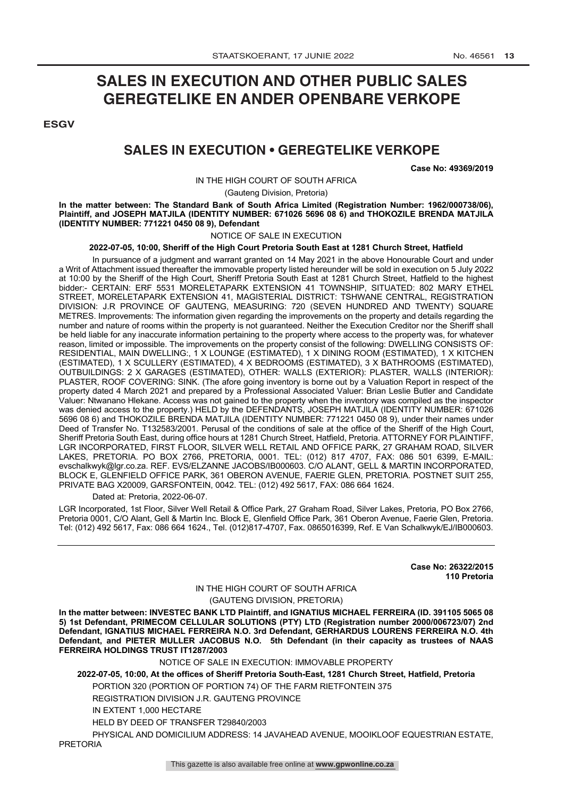## **SALES IN EXECUTION AND OTHER PUBLIC SALES GEREGTELIKE EN ANDER OPENBARE VERKOPE**

**ESGV** 

### **SALES IN EXECUTION • GEREGTELIKE VERKOPE**

**Case No: 49369/2019**

IN THE HIGH COURT OF SOUTH AFRICA

(Gauteng Division, Pretoria)

**In the matter between: The Standard Bank of South Africa Limited (Registration Number: 1962/000738/06), Plaintiff, and JOSEPH MATJILA (IDENTITY NUMBER: 671026 5696 08 6) and THOKOZILE BRENDA MATJILA (IDENTITY NUMBER: 771221 0450 08 9), Defendant**

### NOTICE OF SALE IN EXECUTION

#### **2022-07-05, 10:00, Sheriff of the High Court Pretoria South East at 1281 Church Street, Hatfield**

In pursuance of a judgment and warrant granted on 14 May 2021 in the above Honourable Court and under a Writ of Attachment issued thereafter the immovable property listed hereunder will be sold in execution on 5 July 2022 at 10:00 by the Sheriff of the High Court, Sheriff Pretoria South East at 1281 Church Street, Hatfield to the highest bidder:- CERTAIN: ERF 5531 MORELETAPARK EXTENSION 41 TOWNSHIP, SITUATED: 802 MARY ETHEL STREET, MORELETAPARK EXTENSION 41, MAGISTERIAL DISTRICT: TSHWANE CENTRAL, REGISTRATION DIVISION: J.R PROVINCE OF GAUTENG, MEASURING: 720 (SEVEN HUNDRED AND TWENTY) SQUARE METRES. Improvements: The information given regarding the improvements on the property and details regarding the number and nature of rooms within the property is not guaranteed. Neither the Execution Creditor nor the Sheriff shall be held liable for any inaccurate information pertaining to the property where access to the property was, for whatever reason, limited or impossible. The improvements on the property consist of the following: DWELLING CONSISTS OF: RESIDENTIAL, MAIN DWELLING:, 1 X LOUNGE (ESTIMATED), 1 X DINING ROOM (ESTIMATED), 1 X KITCHEN (ESTIMATED), 1 X SCULLERY (ESTIMATED), 4 X BEDROOMS (ESTIMATED), 3 X BATHROOMS (ESTIMATED), OUTBUILDINGS: 2 X GARAGES (ESTIMATED), OTHER: WALLS (EXTERIOR): PLASTER, WALLS (INTERIOR): PLASTER, ROOF COVERING: SINK. (The afore going inventory is borne out by a Valuation Report in respect of the property dated 4 March 2021 and prepared by a Professional Associated Valuer: Brian Leslie Butler and Candidate Valuer: Ntwanano Hlekane. Access was not gained to the property when the inventory was compiled as the inspector was denied access to the property.) HELD by the DEFENDANTS, JOSEPH MATJILA (IDENTITY NUMBER: 671026 5696 08 6) and THOKOZILE BRENDA MATJILA (IDENTITY NUMBER: 771221 0450 08 9), under their names under Deed of Transfer No. T132583/2001. Perusal of the conditions of sale at the office of the Sheriff of the High Court, Sheriff Pretoria South East, during office hours at 1281 Church Street, Hatfield, Pretoria. ATTORNEY FOR PLAINTIFF, LGR INCORPORATED, FIRST FLOOR, SILVER WELL RETAIL AND OFFICE PARK, 27 GRAHAM ROAD, SILVER LAKES, PRETORIA. PO BOX 2766, PRETORIA, 0001. TEL: (012) 817 4707, FAX: 086 501 6399, E-MAIL: evschalkwyk@lgr.co.za. REF. EVS/ELZANNE JACOBS/IB000603. C/O ALANT, GELL & MARTIN INCORPORATED, BLOCK E, GLENFIELD OFFICE PARK, 361 OBERON AVENUE, FAERIE GLEN, PRETORIA. POSTNET SUIT 255, PRIVATE BAG X20009, GARSFONTEIN, 0042. TEL: (012) 492 5617, FAX: 086 664 1624.

Dated at: Pretoria, 2022-06-07.

LGR Incorporated, 1st Floor, Silver Well Retail & Office Park, 27 Graham Road, Silver Lakes, Pretoria, PO Box 2766, Pretoria 0001, C/O Alant, Gell & Martin Inc. Block E, Glenfield Office Park, 361 Oberon Avenue, Faerie Glen, Pretoria. Tel: (012) 492 5617, Fax: 086 664 1624., Tel. (012)817-4707, Fax. 0865016399, Ref. E Van Schalkwyk/EJ/IB000603.

> **Case No: 26322/2015 110 Pretoria**

### IN THE HIGH COURT OF SOUTH AFRICA (GAUTENG DIVISION, PRETORIA)

**In the matter between: INVESTEC BANK LTD Plaintiff, and IGNATIUS MICHAEL FERREIRA (ID. 391105 5065 08 5) 1st Defendant, PRIMECOM CELLULAR SOLUTIONS (PTY) LTD (Registration number 2000/006723/07) 2nd Defendant, IGNATIUS MICHAEL FERREIRA N.O. 3rd Defendant, GERHARDUS LOURENS FERREIRA N.O. 4th Defendant, and PIETER MULLER JACOBUS N.O. 5th Defendant (in their capacity as trustees of NAAS FERREIRA HOLDINGS TRUST IT1287/2003**

#### NOTICE OF SALE IN EXECUTION: IMMOVABLE PROPERTY

**2022-07-05, 10:00, At the offices of Sheriff Pretoria South-East, 1281 Church Street, Hatfield, Pretoria** PORTION 320 (PORTION OF PORTION 74) OF THE FARM RIETFONTEIN 375

REGISTRATION DIVISION J.R. GAUTENG PROVINCE

IN EXTENT 1,000 HECTARE

HELD BY DEED OF TRANSFER T29840/2003

PHYSICAL AND DOMICILIUM ADDRESS: 14 JAVAHEAD AVENUE, MOOIKLOOF EQUESTRIAN ESTATE, PRETORIA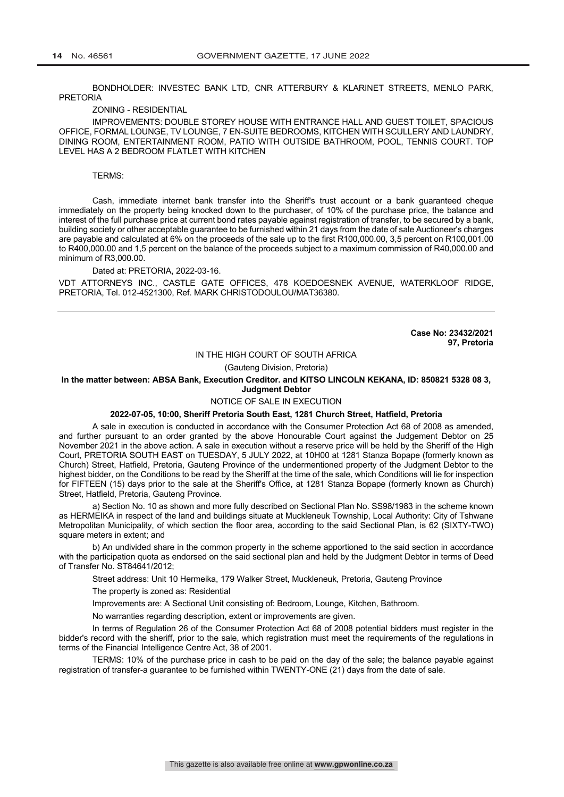BONDHOLDER: INVESTEC BANK LTD, CNR ATTERBURY & KLARINET STREETS, MENLO PARK, PRETORIA

#### ZONING - RESIDENTIAL

IMPROVEMENTS: DOUBLE STOREY HOUSE WITH ENTRANCE HALL AND GUEST TOILET, SPACIOUS OFFICE, FORMAL LOUNGE, TV LOUNGE, 7 EN-SUITE BEDROOMS, KITCHEN WITH SCULLERY AND LAUNDRY, DINING ROOM, ENTERTAINMENT ROOM, PATIO WITH OUTSIDE BATHROOM, POOL, TENNIS COURT. TOP LEVEL HAS A 2 BEDROOM FLATLET WITH KITCHEN

#### TERMS:

Cash, immediate internet bank transfer into the Sheriff's trust account or a bank guaranteed cheque immediately on the property being knocked down to the purchaser, of 10% of the purchase price, the balance and interest of the full purchase price at current bond rates payable against registration of transfer, to be secured by a bank, building society or other acceptable guarantee to be furnished within 21 days from the date of sale Auctioneer's charges are payable and calculated at 6% on the proceeds of the sale up to the first R100,000.00, 3,5 percent on R100,001.00 to R400,000.00 and 1,5 percent on the balance of the proceeds subject to a maximum commission of R40,000.00 and minimum of R3,000.00.

Dated at: PRETORIA, 2022-03-16.

VDT ATTORNEYS INC., CASTLE GATE OFFICES, 478 KOEDOESNEK AVENUE, WATERKLOOF RIDGE, PRETORIA, Tel. 012-4521300, Ref. MARK CHRISTODOULOU/MAT36380.

> **Case No: 23432/2021 97, Pretoria**

#### IN THE HIGH COURT OF SOUTH AFRICA

(Gauteng Division, Pretoria)

#### **In the matter between: ABSA Bank, Execution Creditor. and KITSO LINCOLN KEKANA, ID: 850821 5328 08 3, Judgment Debtor**

#### NOTICE OF SALE IN EXECUTION

#### **2022-07-05, 10:00, Sheriff Pretoria South East, 1281 Church Street, Hatfield, Pretoria**

A sale in execution is conducted in accordance with the Consumer Protection Act 68 of 2008 as amended, and further pursuant to an order granted by the above Honourable Court against the Judgement Debtor on 25 November 2021 in the above action. A sale in execution without a reserve price will be held by the Sheriff of the High Court, PRETORIA SOUTH EAST on TUESDAY, 5 JULY 2022, at 10H00 at 1281 Stanza Bopape (formerly known as Church) Street, Hatfield, Pretoria, Gauteng Province of the undermentioned property of the Judgment Debtor to the highest bidder, on the Conditions to be read by the Sheriff at the time of the sale, which Conditions will lie for inspection for FIFTEEN (15) days prior to the sale at the Sheriff's Office, at 1281 Stanza Bopape (formerly known as Church) Street, Hatfield, Pretoria, Gauteng Province.

a) Section No. 10 as shown and more fully described on Sectional Plan No. SS98/1983 in the scheme known as HERMEIKA in respect of the land and buildings situate at Muckleneuk Township, Local Authority: City of Tshwane Metropolitan Municipality, of which section the floor area, according to the said Sectional Plan, is 62 (SIXTY-TWO) square meters in extent; and

b) An undivided share in the common property in the scheme apportioned to the said section in accordance with the participation quota as endorsed on the said sectional plan and held by the Judgment Debtor in terms of Deed of Transfer No. ST84641/2012;

Street address: Unit 10 Hermeika, 179 Walker Street, Muckleneuk, Pretoria, Gauteng Province

The property is zoned as: Residential

Improvements are: A Sectional Unit consisting of: Bedroom, Lounge, Kitchen, Bathroom.

No warranties regarding description, extent or improvements are given.

In terms of Regulation 26 of the Consumer Protection Act 68 of 2008 potential bidders must register in the bidder's record with the sheriff, prior to the sale, which registration must meet the requirements of the regulations in terms of the Financial Intelligence Centre Act, 38 of 2001.

TERMS: 10% of the purchase price in cash to be paid on the day of the sale; the balance payable against registration of transfer-a guarantee to be furnished within TWENTY-ONE (21) days from the date of sale.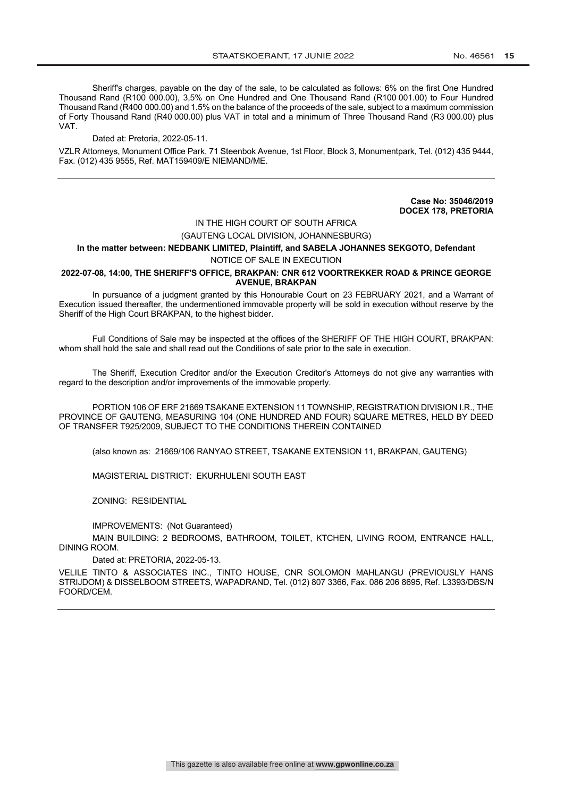Sheriff's charges, payable on the day of the sale, to be calculated as follows: 6% on the first One Hundred Thousand Rand (R100 000.00), 3,5% on One Hundred and One Thousand Rand (R100 001.00) to Four Hundred Thousand Rand (R400 000.00) and 1.5% on the balance of the proceeds of the sale, subject to a maximum commission of Forty Thousand Rand (R40 000.00) plus VAT in total and a minimum of Three Thousand Rand (R3 000.00) plus VAT.

Dated at: Pretoria, 2022-05-11.

VZLR Attorneys, Monument Office Park, 71 Steenbok Avenue, 1st Floor, Block 3, Monumentpark, Tel. (012) 435 9444, Fax. (012) 435 9555, Ref. MAT159409/E NIEMAND/ME.

> **Case No: 35046/2019 DOCEX 178, PRETORIA**

### IN THE HIGH COURT OF SOUTH AFRICA (GAUTENG LOCAL DIVISION, JOHANNESBURG)

### **In the matter between: NEDBANK LIMITED, Plaintiff, and SABELA JOHANNES SEKGOTO, Defendant** NOTICE OF SALE IN EXECUTION

#### **2022-07-08, 14:00, THE SHERIFF'S OFFICE, BRAKPAN: CNR 612 VOORTREKKER ROAD & PRINCE GEORGE AVENUE, BRAKPAN**

In pursuance of a judgment granted by this Honourable Court on 23 FEBRUARY 2021, and a Warrant of Execution issued thereafter, the undermentioned immovable property will be sold in execution without reserve by the Sheriff of the High Court BRAKPAN, to the highest bidder.

Full Conditions of Sale may be inspected at the offices of the SHERIFF OF THE HIGH COURT, BRAKPAN: whom shall hold the sale and shall read out the Conditions of sale prior to the sale in execution.

The Sheriff, Execution Creditor and/or the Execution Creditor's Attorneys do not give any warranties with regard to the description and/or improvements of the immovable property.

PORTION 106 OF ERF 21669 TSAKANE EXTENSION 11 TOWNSHIP, REGISTRATION DIVISION I.R., THE PROVINCE OF GAUTENG, MEASURING 104 (ONE HUNDRED AND FOUR) SQUARE METRES, HELD BY DEED OF TRANSFER T925/2009, SUBJECT TO THE CONDITIONS THEREIN CONTAINED

(also known as: 21669/106 RANYAO STREET, TSAKANE EXTENSION 11, BRAKPAN, GAUTENG)

MAGISTERIAL DISTRICT: EKURHULENI SOUTH EAST

ZONING: RESIDENTIAL

IMPROVEMENTS: (Not Guaranteed)

MAIN BUILDING: 2 BEDROOMS, BATHROOM, TOILET, KTCHEN, LIVING ROOM, ENTRANCE HALL, DINING ROOM.

Dated at: PRETORIA, 2022-05-13.

VELILE TINTO & ASSOCIATES INC., TINTO HOUSE, CNR SOLOMON MAHLANGU (PREVIOUSLY HANS STRIJDOM) & DISSELBOOM STREETS, WAPADRAND, Tel. (012) 807 3366, Fax. 086 206 8695, Ref. L3393/DBS/N FOORD/CEM.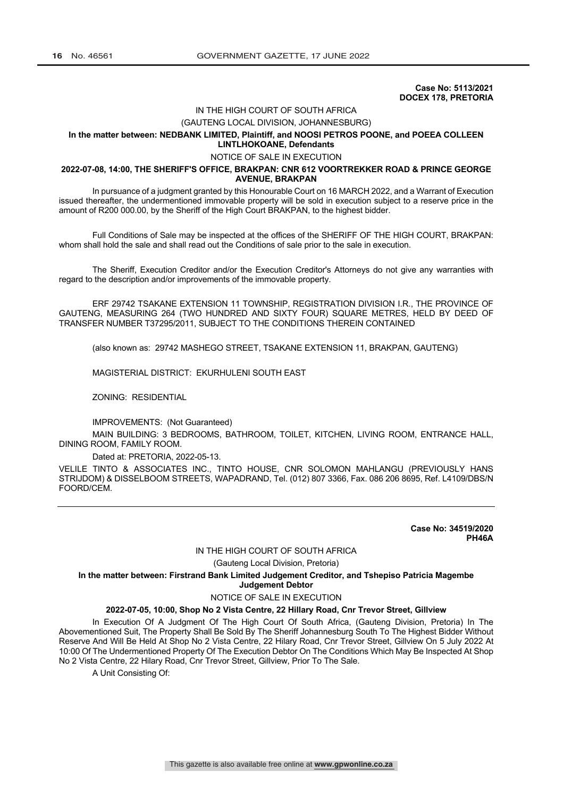**Case No: 5113/2021 DOCEX 178, PRETORIA**

### IN THE HIGH COURT OF SOUTH AFRICA

## (GAUTENG LOCAL DIVISION, JOHANNESBURG)

#### **In the matter between: NEDBANK LIMITED, Plaintiff, and NOOSI PETROS POONE, and POEEA COLLEEN LINTLHOKOANE, Defendants**

#### NOTICE OF SALE IN EXECUTION

#### **2022-07-08, 14:00, THE SHERIFF'S OFFICE, BRAKPAN: CNR 612 VOORTREKKER ROAD & PRINCE GEORGE AVENUE, BRAKPAN**

In pursuance of a judgment granted by this Honourable Court on 16 MARCH 2022, and a Warrant of Execution issued thereafter, the undermentioned immovable property will be sold in execution subject to a reserve price in the amount of R200 000.00, by the Sheriff of the High Court BRAKPAN, to the highest bidder.

Full Conditions of Sale may be inspected at the offices of the SHERIFF OF THE HIGH COURT, BRAKPAN: whom shall hold the sale and shall read out the Conditions of sale prior to the sale in execution.

The Sheriff, Execution Creditor and/or the Execution Creditor's Attorneys do not give any warranties with regard to the description and/or improvements of the immovable property.

ERF 29742 TSAKANE EXTENSION 11 TOWNSHIP, REGISTRATION DIVISION I.R., THE PROVINCE OF GAUTENG, MEASURING 264 (TWO HUNDRED AND SIXTY FOUR) SQUARE METRES, HELD BY DEED OF TRANSFER NUMBER T37295/2011, SUBJECT TO THE CONDITIONS THEREIN CONTAINED

(also known as: 29742 MASHEGO STREET, TSAKANE EXTENSION 11, BRAKPAN, GAUTENG)

MAGISTERIAL DISTRICT: EKURHULENI SOUTH EAST

ZONING: RESIDENTIAL

IMPROVEMENTS: (Not Guaranteed)

MAIN BUILDING: 3 BEDROOMS, BATHROOM, TOILET, KITCHEN, LIVING ROOM, ENTRANCE HALL, DINING ROOM, FAMILY ROOM.

#### Dated at: PRETORIA, 2022-05-13.

VELILE TINTO & ASSOCIATES INC., TINTO HOUSE, CNR SOLOMON MAHLANGU (PREVIOUSLY HANS STRIJDOM) & DISSELBOOM STREETS, WAPADRAND, Tel. (012) 807 3366, Fax. 086 206 8695, Ref. L4109/DBS/N FOORD/CEM.

> **Case No: 34519/2020 PH46A**

#### IN THE HIGH COURT OF SOUTH AFRICA

(Gauteng Local Division, Pretoria)

**In the matter between: Firstrand Bank Limited Judgement Creditor, and Tshepiso Patricia Magembe Judgement Debtor**

#### NOTICE OF SALE IN EXECUTION

#### **2022-07-05, 10:00, Shop No 2 Vista Centre, 22 Hillary Road, Cnr Trevor Street, Gillview**

In Execution Of A Judgment Of The High Court Of South Africa, (Gauteng Division, Pretoria) In The Abovementioned Suit, The Property Shall Be Sold By The Sheriff Johannesburg South To The Highest Bidder Without Reserve And Will Be Held At Shop No 2 Vista Centre, 22 Hilary Road, Cnr Trevor Street, Gillview On 5 July 2022 At 10:00 Of The Undermentioned Property Of The Execution Debtor On The Conditions Which May Be Inspected At Shop No 2 Vista Centre, 22 Hilary Road, Cnr Trevor Street, Gillview, Prior To The Sale.

A Unit Consisting Of: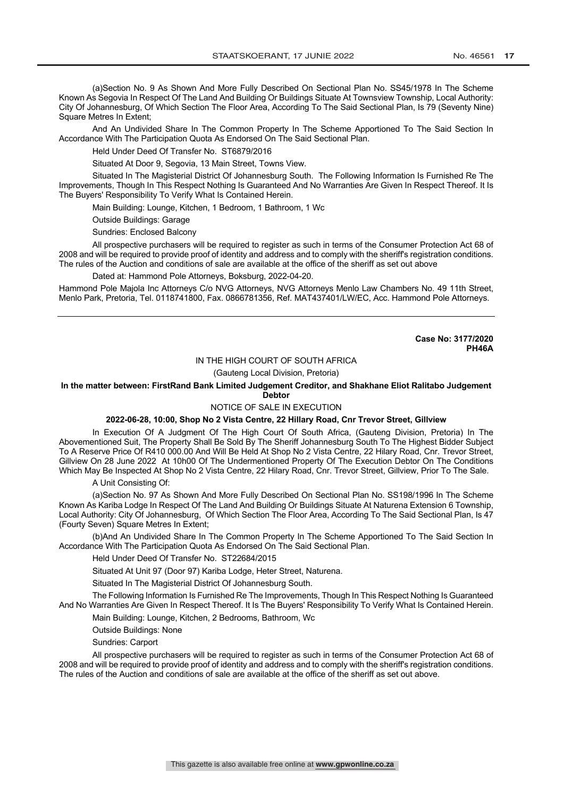(a)Section No. 9 As Shown And More Fully Described On Sectional Plan No. SS45/1978 In The Scheme Known As Segovia In Respect Of The Land And Building Or Buildings Situate At Townsview Township, Local Authority: City Of Johannesburg, Of Which Section The Floor Area, According To The Said Sectional Plan, Is 79 (Seventy Nine) Square Metres In Extent;

And An Undivided Share In The Common Property In The Scheme Apportioned To The Said Section In Accordance With The Participation Quota As Endorsed On The Said Sectional Plan.

Held Under Deed Of Transfer No. ST6879/2016

Situated At Door 9, Segovia, 13 Main Street, Towns View.

Situated In The Magisterial District Of Johannesburg South. The Following Information Is Furnished Re The Improvements, Though In This Respect Nothing Is Guaranteed And No Warranties Are Given In Respect Thereof. It Is The Buyers' Responsibility To Verify What Is Contained Herein.

Main Building: Lounge, Kitchen, 1 Bedroom, 1 Bathroom, 1 Wc

Outside Buildings: Garage

Sundries: Enclosed Balcony

All prospective purchasers will be required to register as such in terms of the Consumer Protection Act 68 of 2008 and will be required to provide proof of identity and address and to comply with the sheriff's registration conditions. The rules of the Auction and conditions of sale are available at the office of the sheriff as set out above

Dated at: Hammond Pole Attorneys, Boksburg, 2022-04-20.

Hammond Pole Majola Inc Attorneys C/o NVG Attorneys, NVG Attorneys Menlo Law Chambers No. 49 11th Street, Menlo Park, Pretoria, Tel. 0118741800, Fax. 0866781356, Ref. MAT437401/LW/EC, Acc. Hammond Pole Attorneys.

> **Case No: 3177/2020 PH46A**

#### IN THE HIGH COURT OF SOUTH AFRICA

(Gauteng Local Division, Pretoria)

**In the matter between: FirstRand Bank Limited Judgement Creditor, and Shakhane Eliot Ralitabo Judgement Debtor**

#### NOTICE OF SALE IN EXECUTION

#### **2022-06-28, 10:00, Shop No 2 Vista Centre, 22 Hillary Road, Cnr Trevor Street, Gillview**

In Execution Of A Judgment Of The High Court Of South Africa, (Gauteng Division, Pretoria) In The Abovementioned Suit, The Property Shall Be Sold By The Sheriff Johannesburg South To The Highest Bidder Subject To A Reserve Price Of R410 000.00 And Will Be Held At Shop No 2 Vista Centre, 22 Hilary Road, Cnr. Trevor Street, Gillview On 28 June 2022 At 10h00 Of The Undermentioned Property Of The Execution Debtor On The Conditions Which May Be Inspected At Shop No 2 Vista Centre, 22 Hilary Road, Cnr. Trevor Street, Gillview, Prior To The Sale.

A Unit Consisting Of:

(a)Section No. 97 As Shown And More Fully Described On Sectional Plan No. SS198/1996 In The Scheme Known As Kariba Lodge In Respect Of The Land And Building Or Buildings Situate At Naturena Extension 6 Township, Local Authority: City Of Johannesburg, Of Which Section The Floor Area, According To The Said Sectional Plan, Is 47 (Fourty Seven) Square Metres In Extent;

(b)And An Undivided Share In The Common Property In The Scheme Apportioned To The Said Section In Accordance With The Participation Quota As Endorsed On The Said Sectional Plan.

Held Under Deed Of Transfer No. ST22684/2015

Situated At Unit 97 (Door 97) Kariba Lodge, Heter Street, Naturena.

Situated In The Magisterial District Of Johannesburg South.

The Following Information Is Furnished Re The Improvements, Though In This Respect Nothing Is Guaranteed And No Warranties Are Given In Respect Thereof. It Is The Buyers' Responsibility To Verify What Is Contained Herein.

Main Building: Lounge, Kitchen, 2 Bedrooms, Bathroom, Wc

Outside Buildings: None

Sundries: Carport

All prospective purchasers will be required to register as such in terms of the Consumer Protection Act 68 of 2008 and will be required to provide proof of identity and address and to comply with the sheriff's registration conditions. The rules of the Auction and conditions of sale are available at the office of the sheriff as set out above.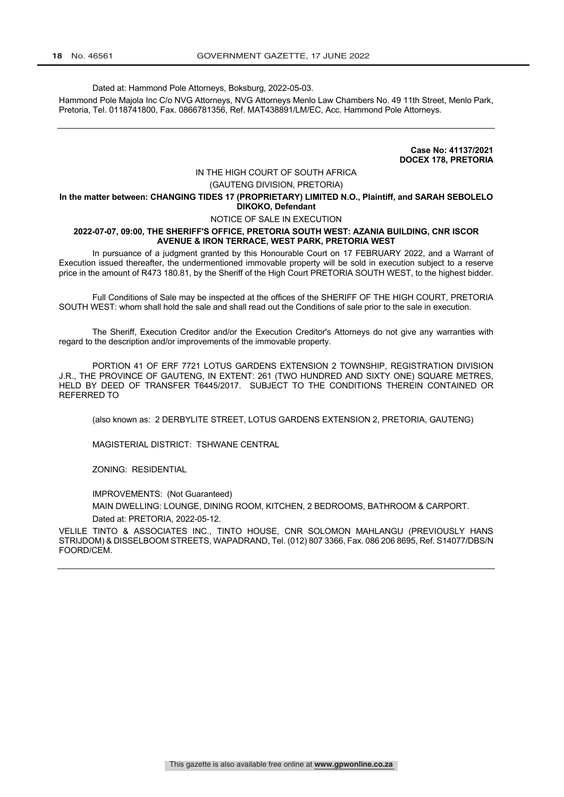Dated at: Hammond Pole Attorneys, Boksburg, 2022-05-03.

Hammond Pole Majola Inc C/o NVG Attorneys, NVG Attorneys Menlo Law Chambers No. 49 11th Street, Menlo Park, Pretoria, Tel. 0118741800, Fax. 0866781356, Ref. MAT438891/LM/EC, Acc. Hammond Pole Attorneys.

> **Case No: 41137/2021 DOCEX 178, PRETORIA**

### IN THE HIGH COURT OF SOUTH AFRICA

#### (GAUTENG DIVISION, PRETORIA)

#### **In the matter between: CHANGING TIDES 17 (PROPRIETARY) LIMITED N.O., Plaintiff, and SARAH SEBOLELO DIKOKO, Defendant**

#### NOTICE OF SALE IN EXECUTION

#### **2022-07-07, 09:00, THE SHERIFF'S OFFICE, PRETORIA SOUTH WEST: AZANIA BUILDING, CNR ISCOR AVENUE & IRON TERRACE, WEST PARK, PRETORIA WEST**

In pursuance of a judgment granted by this Honourable Court on 17 FEBRUARY 2022, and a Warrant of Execution issued thereafter, the undermentioned immovable property will be sold in execution subject to a reserve price in the amount of R473 180.81, by the Sheriff of the High Court PRETORIA SOUTH WEST, to the highest bidder.

Full Conditions of Sale may be inspected at the offices of the SHERIFF OF THE HIGH COURT, PRETORIA SOUTH WEST: whom shall hold the sale and shall read out the Conditions of sale prior to the sale in execution.

The Sheriff, Execution Creditor and/or the Execution Creditor's Attorneys do not give any warranties with regard to the description and/or improvements of the immovable property.

PORTION 41 OF ERF 7721 LOTUS GARDENS EXTENSION 2 TOWNSHIP, REGISTRATION DIVISION J.R., THE PROVINCE OF GAUTENG, IN EXTENT: 261 (TWO HUNDRED AND SIXTY ONE) SQUARE METRES, HELD BY DEED OF TRANSFER T6445/2017. SUBJECT TO THE CONDITIONS THEREIN CONTAINED OR REFERRED TO

(also known as: 2 DERBYLITE STREET, LOTUS GARDENS EXTENSION 2, PRETORIA, GAUTENG)

MAGISTERIAL DISTRICT: TSHWANE CENTRAL

ZONING: RESIDENTIAL

IMPROVEMENTS: (Not Guaranteed)

MAIN DWELLING: LOUNGE, DINING ROOM, KITCHEN, 2 BEDROOMS, BATHROOM & CARPORT. Dated at: PRETORIA, 2022-05-12.

VELILE TINTO & ASSOCIATES INC., TINTO HOUSE, CNR SOLOMON MAHLANGU (PREVIOUSLY HANS STRIJDOM) & DISSELBOOM STREETS, WAPADRAND, Tel. (012) 807 3366, Fax. 086 206 8695, Ref. S14077/DBS/N FOORD/CEM.